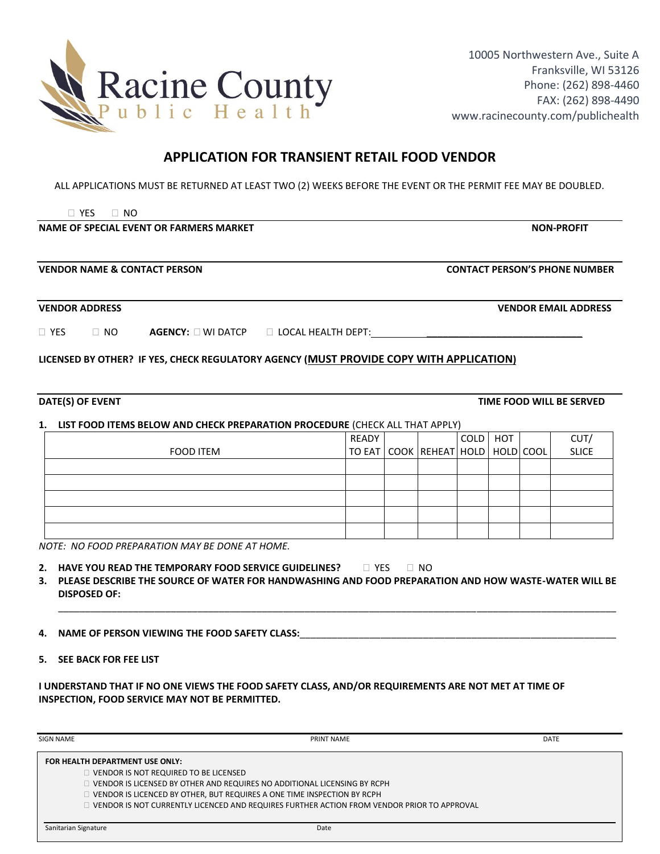

## **APPLICATION FOR TRANSIENT RETAIL FOOD VENDOR**

ALL APPLICATIONS MUST BE RETURNED AT LEAST TWO (2) WEEKS BEFORE THE EVENT OR THE PERMIT FEE MAY BE DOUBLED.

YES NO

**NAME OF SPECIAL EVENT OR FARMERS MARKET NON-PROFIT SEXUAL SEXUAL SEXUAL SEXUAL SEXUAL SEXUAL SEXUAL SEXUAL SEXU** 

**VENDOR NAME & CONTACT PERSON CONTACT PERSON'S PHONE NUMBER**

**VENDOR ADDRESS VENDOR EMAIL ADDRESS**

| $\Box$ Yes | NO. | <b>AGENCY:</b> U WI DATCP | $\Box$ LOCAL HEALTH DEPT: |
|------------|-----|---------------------------|---------------------------|

**LICENSED BY OTHER? IF YES, CHECK REGULATORY AGENCY (MUST PROVIDE COPY WITH APPLICATION)**

## **1. LIST FOOD ITEMS BELOW AND CHECK PREPARATION PROCEDURE** (CHECK ALL THAT APPLY)

|           | READY |                                             | COLD HOT |  | CUT/         |
|-----------|-------|---------------------------------------------|----------|--|--------------|
| FOOD ITEM |       | TO EAT   COOK   REHEAT   HOLD   HOLD   COOL |          |  | <b>SLICE</b> |
|           |       |                                             |          |  |              |
|           |       |                                             |          |  |              |
|           |       |                                             |          |  |              |
|           |       |                                             |          |  |              |
|           |       |                                             |          |  |              |

*NOTE: NO FOOD PREPARATION MAY BE DONE AT HOME.* 

|  | 2. HAVE YOU READ THE TEMPORARY FOOD SERVICE GUIDELINES? | $\Box$ YES $\Box$ NO |  |
|--|---------------------------------------------------------|----------------------|--|
|--|---------------------------------------------------------|----------------------|--|

**3. PLEASE DESCRIBE THE SOURCE OF WATER FOR HANDWASHING AND FOOD PREPARATION AND HOW WASTE-WATER WILL BE DISPOSED OF:** 

\_\_\_\_\_\_\_\_\_\_\_\_\_\_\_\_\_\_\_\_\_\_\_\_\_\_\_\_\_\_\_\_\_\_\_\_\_\_\_\_\_\_\_\_\_\_\_\_\_\_\_\_\_\_\_\_\_\_\_\_\_\_\_\_\_\_\_\_\_\_\_\_\_\_\_\_\_\_\_\_\_\_\_\_\_\_\_\_\_\_\_\_\_\_\_\_\_\_\_\_\_\_\_\_

**4. NAME OF PERSON VIEWING THE FOOD SAFETY CLASS:** 

**5. SEE BACK FOR FEE LIST**

**I UNDERSTAND THAT IF NO ONE VIEWS THE FOOD SAFETY CLASS, AND/OR REQUIREMENTS ARE NOT MET AT TIME OF INSPECTION, FOOD SERVICE MAY NOT BE PERMITTED.**

| <b>SIGN NAME</b>                | PRINT NAME                                                                                 | <b>DATE</b> |
|---------------------------------|--------------------------------------------------------------------------------------------|-------------|
| FOR HEALTH DEPARTMENT USE ONLY: |                                                                                            |             |
|                                 | VENDOR IS NOT REQUIRED TO BE LICENSED                                                      |             |
|                                 | VENDOR IS LICENSED BY OTHER AND REQUIRES NO ADDITIONAL LICENSING BY RCPH                   |             |
|                                 | VENDOR IS LICENCED BY OTHER, BUT REQUIRES A ONE TIME INSPECTION BY RCPH                    |             |
|                                 | VENDOR IS NOT CURRENTLY LICENCED AND REQUIRES FURTHER ACTION FROM VENDOR PRIOR TO APPROVAL |             |
|                                 |                                                                                            |             |
| Sanitarian Signature            | Date                                                                                       |             |

**DATE(S) OF EVENT TIME FOOD WILL BE SERVED**